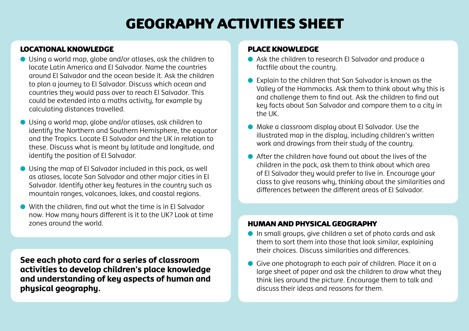# GEOGRAPHY activities sheet

# Locational knowledge

- $\bullet$  Using a world map, globe and/or atlases, ask the children to locate Latin America and El Salvador. Name the countries around El Salvador and the ocean beside it. Ask the children to plan a journey to El Salvador. Discuss which ocean and countries they would pass over to reach El Salvador. This could be extended into a maths activity, for example by calculating distances travelled.
- l Using a world map, globe and/or atlases, ask children to identify the Northern and Southern Hemisphere, the equator and the Tropics. Locate El Salvador and the UK in relation to these. Discuss what is meant by latitude and longitude, and identify the position of El Salvador.
- $\bullet$  Using the map of El Salvador included in this pack, as well as atlases, locate San Salvador and other major cities in El Salvador. Identifu other key features in the country such as mountain ranges, volcanoes, lakes, and coastal regions.
- With the children, find out what the time is in El Salvador now. How many hours different is it to the UK? Look at time zones around the world.

**See each photo card for a series of classroom activities to develop children's place knowledge and understanding of key aspects of human and physical geography.** 

## Place knowledge

- l Ask the children to research El Salvador and produce a factfile about the country.
- Explain to the children that San Salvador is known as the Valley of the Hammocks. Ask them to think about why this is and challenge them to find out. Ask the children to find out key facts about San Salvador and compare them to a city in the UK.
- $\bullet$  Make a classroom display about El Salvador. Use the illustrated map in the display, including children's written work and drawings from their studu of the countru.
- $\bullet$  After the children have found out about the lives of the children in the pack, ask them to think about which area of El Salvador they would prefer to live in. Encourage your class to give reasons why, thinking about the similarities and differences between the different areas of El Salvador.

## Human and physical geography

- $\bullet$  In small groups, give children a set of photo cards and ask them to sort them into those that look similar, explaining their choices. Discuss similarities and differences.
- **.** Give one photograph to each pair of children. Place it on a large sheet of paper and ask the children to draw what they think lies around the picture. Encourage them to talk and discuss their ideas and reasons for them.